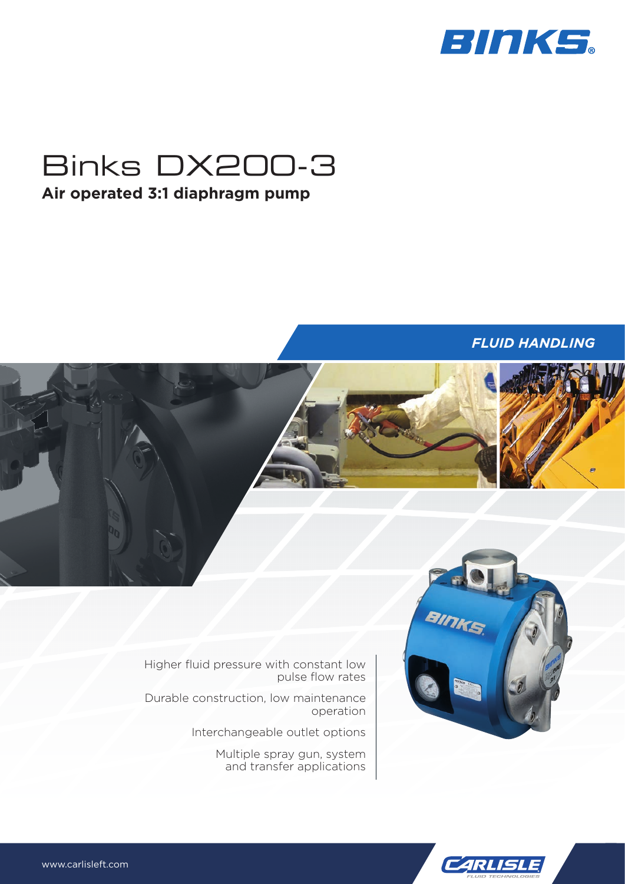

# Binks DX200-3

## **Air operated 3:1 diaphragm pump**

### *FLUID HANDLING*





Higher fluid pressure with constant low pulse flow rates

Durable construction, low maintenance operation

Interchangeable outlet options

Multiple spray gun, system and transfer applications

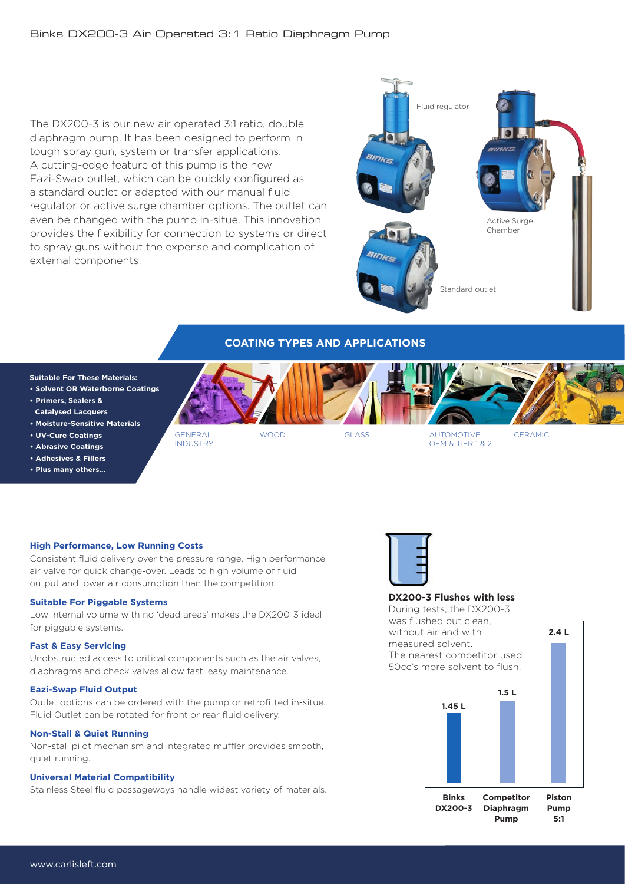The DX200-3 is our new air operated 3:1 ratio, double diaphragm pump. It has been designed to perform in tough spray gun, system or transfer applications. A cutting-edge feature of this pump is the new Eazi-Swap outlet, which can be quickly configured as a standard outlet or adapted with our manual fluid regulator or active surge chamber options. The outlet can even be changed with the pump in-situe. This innovation provides the flexibility for connection to systems or direct to spray guns without the expense and complication of external components.



#### **COATING TYPES AND APPLICATIONS**

#### **Suitable For These Materials:**

- **Solvent OR Waterborne Coatings**
- **Primers, Sealers &**
- **Catalysed Lacquers**
- **Moisture-Sensitive Materials • UV-Cure Coatings**
- 
- **Abrasive Coatings**
- **Adhesives & Fillers**
- **Plus many others…**

WOOD GLASS AUTOMOTIVE

OEM & TIER 1 & 2 **CERAMIC** 

#### **High Performance, Low Running Costs**

Consistent fluid delivery over the pressure range. High performance air valve for quick change-over. Leads to high volume of fluid output and lower air consumption than the competition.

GENERAL INDUSTRY

#### **Suitable For Piggable Systems**

Low internal volume with no 'dead areas' makes the DX200-3 ideal for piggable systems.

#### **Fast & Easy Servicing**

Unobstructed access to critical components such as the air valves, diaphragms and check valves allow fast, easy maintenance.

#### **Eazi-Swap Fluid Output**

Outlet options can be ordered with the pump or retrofitted in-situe. Fluid Outlet can be rotated for front or rear fluid delivery.

#### **Non-Stall & Quiet Running**

Non-stall pilot mechanism and integrated muffler provides smooth, quiet running.

#### **Universal Material Compatibility**

Stainless Steel fluid passageways handle widest variety of materials.



#### **DX200-3 Flushes with less**

During tests, the DX200-3 was flushed out clean, without air and with measured solvent. The nearest competitor used 50cc's more solvent to flush.



**2.4 L**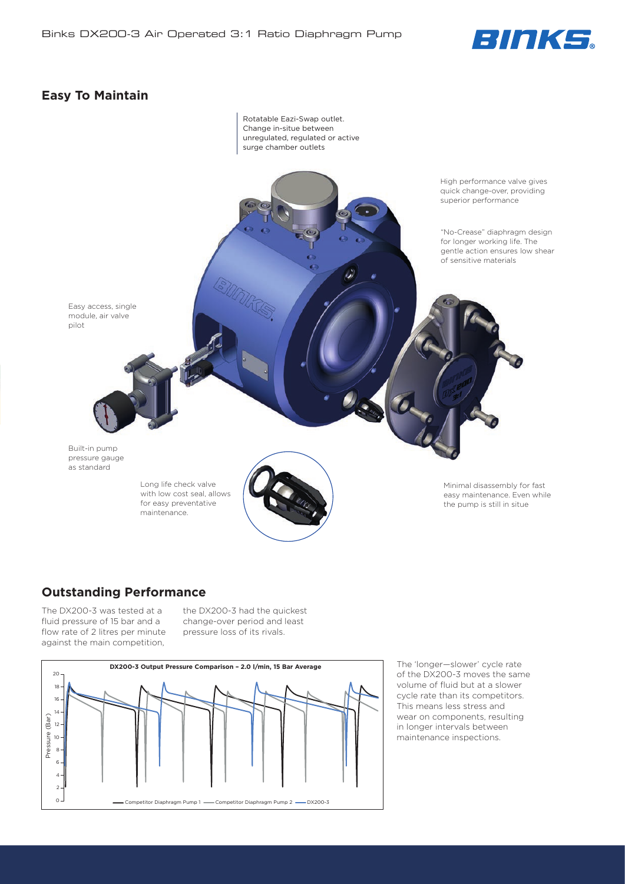

### **Easy To Maintain**



### **Outstanding Performance**

fluid pressure of 15 bar and a The DX200-3 was tested at a flow rate of 2 litres per minute against the main competition,

of 15 bar and a change-over period and least the DX200-3 had the quickest pressure loss of its rivals.



The 'longer—slower' cycle rate of the DX200-3 moves the same volume of fluid but at a slower cycle rate than its competitors. This means less stress and wear on components, resulting in longer intervals between maintenance inspections.